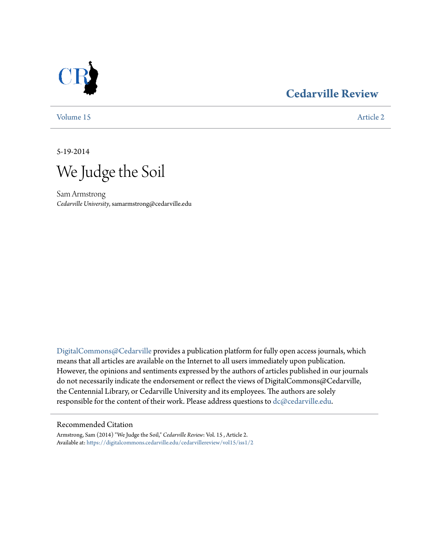# **[Cedarville Review](https://digitalcommons.cedarville.edu/cedarvillereview?utm_source=digitalcommons.cedarville.edu%2Fcedarvillereview%2Fvol15%2Fiss1%2F2&utm_medium=PDF&utm_campaign=PDFCoverPages)**



[Volume 15](https://digitalcommons.cedarville.edu/cedarvillereview/vol15?utm_source=digitalcommons.cedarville.edu%2Fcedarvillereview%2Fvol15%2Fiss1%2F2&utm_medium=PDF&utm_campaign=PDFCoverPages) [Article 2](https://digitalcommons.cedarville.edu/cedarvillereview/vol15/iss1/2?utm_source=digitalcommons.cedarville.edu%2Fcedarvillereview%2Fvol15%2Fiss1%2F2&utm_medium=PDF&utm_campaign=PDFCoverPages)

5-19-2014

We Judge the Soil

Sam Armstrong *Cedarville University*, samarmstrong@cedarville.edu

[DigitalCommons@Cedarville](http://digitalcommons.cedarville.edu) provides a publication platform for fully open access journals, which means that all articles are available on the Internet to all users immediately upon publication. However, the opinions and sentiments expressed by the authors of articles published in our journals do not necessarily indicate the endorsement or reflect the views of DigitalCommons@Cedarville, the Centennial Library, or Cedarville University and its employees. The authors are solely responsible for the content of their work. Please address questions to [dc@cedarville.edu](mailto:dc@cedarville.edu).

#### Recommended Citation

Armstrong, Sam (2014) "We Judge the Soil," *Cedarville Review*: Vol. 15 , Article 2. Available at: [https://digitalcommons.cedarville.edu/cedarvillereview/vol15/iss1/2](https://digitalcommons.cedarville.edu/cedarvillereview/vol15/iss1/2?utm_source=digitalcommons.cedarville.edu%2Fcedarvillereview%2Fvol15%2Fiss1%2F2&utm_medium=PDF&utm_campaign=PDFCoverPages)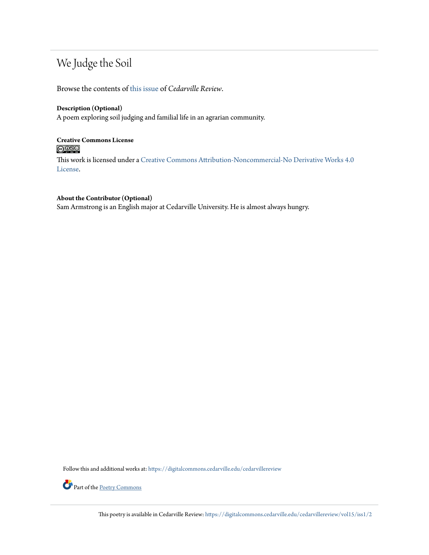# We Judge the Soil

Browse the contents of [this issue](https://digitalcommons.cedarville.edu/cedarvillereview/vol15/iss1) of *Cedarville Review*.

#### **Description (Optional)**

A poem exploring soil judging and familial life in an agrarian community.

### **Creative Commons License**  $\bigcirc$   $\circ$

This work is licensed under a [Creative Commons Attribution-Noncommercial-No Derivative Works 4.0](http://creativecommons.org/licenses/by-nc-nd/4.0/) [License.](http://creativecommons.org/licenses/by-nc-nd/4.0/)

### **About the Contributor (Optional)**

Sam Armstrong is an English major at Cedarville University. He is almost always hungry.

Follow this and additional works at: [https://digitalcommons.cedarville.edu/cedarvillereview](https://digitalcommons.cedarville.edu/cedarvillereview?utm_source=digitalcommons.cedarville.edu%2Fcedarvillereview%2Fvol15%2Fiss1%2F2&utm_medium=PDF&utm_campaign=PDFCoverPages)



Part of the <u>[Poetry Commons](http://network.bepress.com/hgg/discipline/1153?utm_source=digitalcommons.cedarville.edu%2Fcedarvillereview%2Fvol15%2Fiss1%2F2&utm_medium=PDF&utm_campaign=PDFCoverPages)</u>